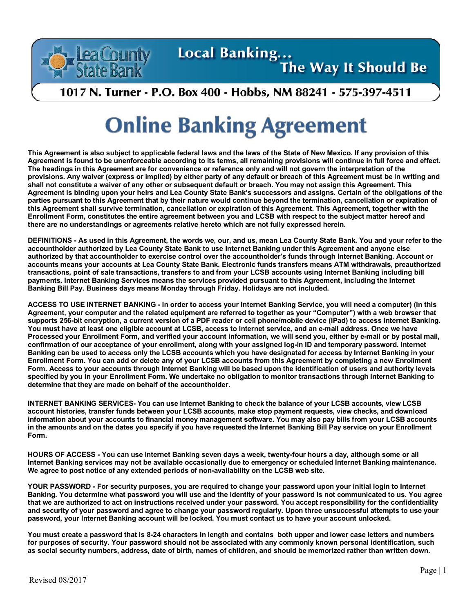

## Local Banking...

## The Way It Should Be

## 1017 N. Turner - P.O. Box 400 - Hobbs, NM 88241 - 575-397-4511

## **Online Banking Agreement**

**This Agreement is also subject to applicable federal laws and the laws of the State of New Mexico. If any provision of this Agreement is found to be unenforceable according to its terms, all remaining provisions will continue in full force and effect. The headings in this Agreement are for convenience or reference only and will not govern the interpretation of the provisions. Any waiver (express or implied) by either party of any default or breach of this Agreement must be in writing and shall not constitute a waiver of any other or subsequent default or breach. You may not assign this Agreement. This Agreement is binding upon your heirs and Lea County State Bank's successors and assigns. Certain of the obligations of the parties pursuant to this Agreement that by their nature would continue beyond the termination, cancellation or expiration of this Agreement shall survive termination, cancellation or expiration of this Agreement. This Agreement, together with the Enrollment Form, constitutes the entire agreement between you and LCSB with respect to the subject matter hereof and there are no understandings or agreements relative hereto which are not fully expressed herein.**

**DEFINITIONS - As used in this Agreement, the words we, our, and us, mean Lea County State Bank. You and your refer to the accountholder authorized by Lea County State Bank to use Internet Banking under this Agreement and anyone else authorized by that accountholder to exercise control over the accountholder's funds through Internet Banking. Account or accounts means your accounts at Lea County State Bank. Electronic funds transfers means ATM withdrawals, preauthorized transactions, point of sale transactions, transfers to and from your LCSB accounts using Internet Banking including bill payments. Internet Banking Services means the services provided pursuant to this Agreement, including the Internet Banking Bill Pay. Business days means Monday through Friday. Holidays are not included.**

**ACCESS TO USE INTERNET BANKING - In order to access your Internet Banking Service, you will need a computer) (in this Agreement, your computer and the related equipment are referred to together as your "Computer") with a web browser that supports 256-bit encryption, a current version of a PDF reader or cell phone/mobile device (iPad) to access Internet Banking. You must have at least one eligible account at LCSB, access to Internet service, and an e-mail address. Once we have Processed your Enrollment Form, and verified your account information, we will send you, either by e-mail or by postal mail, confirmation of our acceptance of your enrollment, along with your assigned log-in ID and temporary password. Internet Banking can be used to access only the LCSB accounts which you have designated for access by Internet Banking in your Enrollment Form. You can add or delete any of your LCSB accounts from this Agreement by completing a new Enrollment Form. Access to your accounts through Internet Banking will be based upon the identification of users and authority levels specified by you in your Enrollment Form. We undertake no obligation to monitor transactions through Internet Banking to determine that they are made on behalf of the accountholder.**

**INTERNET BANKING SERVICES- You can use Internet Banking to check the balance of your LCSB accounts, view LCSB account histories, transfer funds between your LCSB accounts, make stop payment requests, view checks, and download information about your accounts to financial money management software. You may also pay bills from your LCSB accounts in the amounts and on the dates you specify if you have requested the Internet Banking Bill Pay service on your Enrollment Form.**

**HOURS OF ACCESS - You can use Internet Banking seven days a week, twenty-four hours a day, although some or all Internet Banking services may not be available occasionally due to emergency or scheduled Internet Banking maintenance. We agree to post notice of any extended periods of non-availability on the LCSB web site.**

**YOUR PASSWORD - For security purposes, you are required to change your password upon your initial login to Internet Banking. You determine what password you will use and the identity of your password is not communicated to us. You agree that we are authorized to act on instructions received under your password. You accept responsibility for the confidentiality and security of your password and agree to change your password regularly. Upon three unsuccessful attempts to use your password, your Internet Banking account will be locked. You must contact us to have your account unlocked.**

**You must create a password that is 8-24 characters in length and contains both upper and lower case letters and numbers for purposes of security. Your password should not be associated with any commonly known personal identification, such as social security numbers, address, date of birth, names of children, and should be memorized rather than written down.**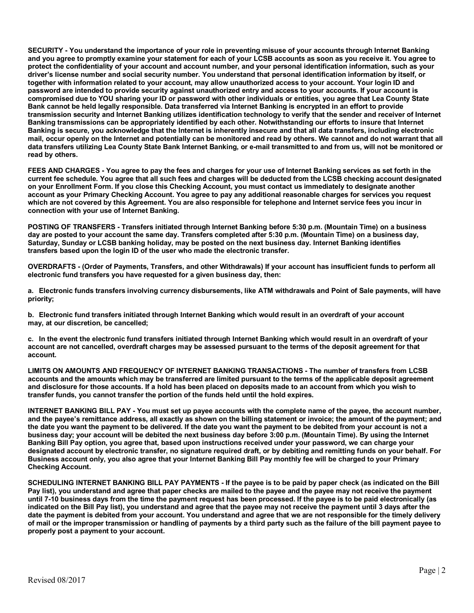**SECURITY - You understand the importance of your role in preventing misuse of your accounts through Internet Banking and you agree to promptly examine your statement for each of your LCSB accounts as soon as you receive it. You agree to protect the confidentiality of your account and account number, and your personal identification information, such as your driver's license number and social security number. You understand that personal identification information by itself, or together with information related to your account, may allow unauthorized access to your account. Your login ID and password are intended to provide security against unauthorized entry and access to your accounts. If your account is compromised due to YOU sharing your ID or password with other individuals or entities, you agree that Lea County State Bank cannot be held legally responsible. Data transferred via Internet Banking is encrypted in an effort to provide transmission security and Internet Banking utilizes identification technology to verify that the sender and receiver of Internet Banking transmissions can be appropriately identified by each other. Notwithstanding our efforts to insure that Internet Banking is secure, you acknowledge that the Internet is inherently insecure and that all data transfers, including electronic mail, occur openly on the Internet and potentially can be monitored and read by others. We cannot and do not warrant that all data transfers utilizing Lea County State Bank Internet Banking, or e-mail transmitted to and from us, will not be monitored or read by others.**

**FEES AND CHARGES - You agree to pay the fees and charges for your use of Internet Banking services as set forth in the current fee schedule. You agree that all such fees and charges will be deducted from the LCSB checking account designated on your Enrollment Form. If you close this Checking Account, you must contact us immediately to designate another account as your Primary Checking Account. You agree to pay any additional reasonable charges for services you request which are not covered by this Agreement. You are also responsible for telephone and Internet service fees you incur in connection with your use of Internet Banking.**

**POSTING OF TRANSFERS - Transfers initiated through Internet Banking before 5:30 p.m. (Mountain Time) on a business day are posted to your account the same day. Transfers completed after 5:30 p.m. (Mountain Time) on a business day, Saturday, Sunday or LCSB banking holiday, may be posted on the next business day. Internet Banking identifies transfers based upon the login ID of the user who made the electronic transfer.**

**OVERDRAFTS - (Order of Payments, Transfers, and other Withdrawals) If your account has insufficient funds to perform all electronic fund transfers you have requested for a given business day, then:**

**a. Electronic funds transfers involving currency disbursements, like ATM withdrawals and Point of Sale payments, will have priority;**

**b. Electronic fund transfers initiated through Internet Banking which would result in an overdraft of your account may, at our discretion, be cancelled;**

**c. In the event the electronic fund transfers initiated through Internet Banking which would result in an overdraft of your account are not cancelled, overdraft charges may be assessed pursuant to the terms of the deposit agreement for that account.**

**LIMITS ON AMOUNTS AND FREQUENCY OF INTERNET BANKING TRANSACTIONS - The number of transfers from LCSB accounts and the amounts which may be transferred are limited pursuant to the terms of the applicable deposit agreement and disclosure for those accounts. If a hold has been placed on deposits made to an account from which you wish to transfer funds, you cannot transfer the portion of the funds held until the hold expires.**

**INTERNET BANKING BILL PAY - You must set up payee accounts with the complete name of the payee, the account number, and the payee's remittance address, all exactly as shown on the billing statement or invoice; the amount of the payment; and the date you want the payment to be delivered. If the date you want the payment to be debited from your account is not a business day; your account will be debited the next business day before 3:00 p.m. (Mountain Time). By using the Internet Banking Bill Pay option, you agree that, based upon instructions received under your password, we can charge your designated account by electronic transfer, no signature required draft, or by debiting and remitting funds on your behalf. For Business account only, you also agree that your Internet Banking Bill Pay monthly fee will be charged to your Primary Checking Account.**

**SCHEDULING INTERNET BANKING BILL PAY PAYMENTS - If the payee is to be paid by paper check (as indicated on the Bill Pay list), you understand and agree that paper checks are mailed to the payee and the payee may not receive the payment until 7-10 business days from the time the payment request has been processed. If the payee is to be paid electronically (as indicated on the Bill Pay list), you understand and agree that the payee may not receive the payment until 3 days after the date the payment is debited from your account. You understand and agree that we are not responsible for the timely delivery of mail or the improper transmission or handling of payments by a third party such as the failure of the bill payment payee to properly post a payment to your account.**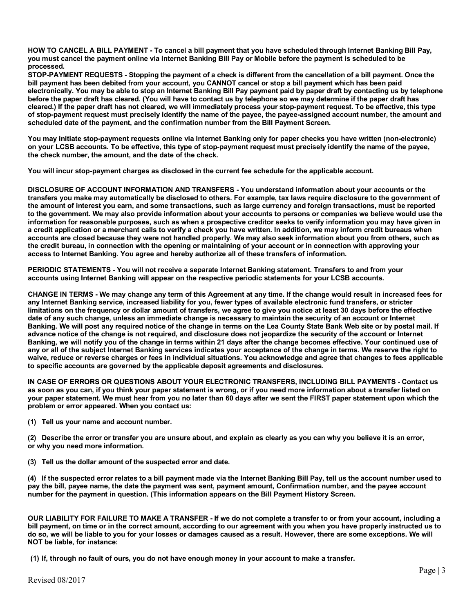**HOW TO CANCEL A BILL PAYMENT - To cancel a bill payment that you have scheduled through Internet Banking Bill Pay, you must cancel the payment online via Internet Banking Bill Pay or Mobile before the payment is scheduled to be processed.**

**STOP-PAYMENT REQUESTS - Stopping the payment of a check is different from the cancellation of a bill payment. Once the bill payment has been debited from your account, you CANNOT cancel or stop a bill payment which has been paid electronically. You may be able to stop an Internet Banking Bill Pay payment paid by paper draft by contacting us by telephone before the paper draft has cleared. (You will have to contact us by telephone so we may determine if the paper draft has cleared.) If the paper draft has not cleared, we will immediately process your stop-payment request. To be effective, this type of stop-payment request must precisely identify the name of the payee, the payee-assigned account number, the amount and scheduled date of the payment, and the confirmation number from the Bill Payment Screen.**

**You may initiate stop-payment requests online via Internet Banking only for paper checks you have written (non-electronic) on your LCSB accounts. To be effective, this type of stop-payment request must precisely identify the name of the payee, the check number, the amount, and the date of the check.**

**You will incur stop-payment charges as disclosed in the current fee schedule for the applicable account.**

**DISCLOSURE OF ACCOUNT INFORMATION AND TRANSFERS - You understand information about your accounts or the transfers you make may automatically be disclosed to others. For example, tax laws require disclosure to the government of the amount of interest you earn, and some transactions, such as large currency and foreign transactions, must be reported to the government. We may also provide information about your accounts to persons or companies we believe would use the information for reasonable purposes, such as when a prospective creditor seeks to verify information you may have given in a credit application or a merchant calls to verify a check you have written. In addition, we may inform credit bureaus when accounts are closed because they were not handled properly. We may also seek information about you from others, such as the credit bureau, in connection with the opening or maintaining of your account or in connection with approving your access to Internet Banking. You agree and hereby authorize all of these transfers of information.**

**PERIODIC STATEMENTS - You will not receive a separate Internet Banking statement. Transfers to and from your accounts using Internet Banking will appear on the respective periodic statements for your LCSB accounts.**

**CHANGE IN TERMS - We may change any term of this Agreement at any time. If the change would result in increased fees for any Internet Banking service, increased liability for you, fewer types of available electronic fund transfers, or stricter limitations on the frequency or dollar amount of transfers, we agree to give you notice at least 30 days before the effective date of any such change, unless an immediate change is necessary to maintain the security of an account or Internet Banking. We will post any required notice of the change in terms on the Lea County State Bank Web site or by postal mail. If advance notice of the change is not required, and disclosure does not jeopardize the security of the account or Internet Banking, we will notify you of the change in terms within 21 days after the change becomes effective. Your continued use of any or all of the subject Internet Banking services indicates your acceptance of the change in terms. We reserve the right to waive, reduce or reverse charges or fees in individual situations. You acknowledge and agree that changes to fees applicable to specific accounts are governed by the applicable deposit agreements and disclosures.**

**IN CASE OF ERRORS OR QUESTIONS ABOUT YOUR ELECTRONIC TRANSFERS, INCLUDING BILL PAYMENTS - Contact us as soon as you can, if you think your paper statement is wrong, or if you need more information about a transfer listed on your paper statement. We must hear from you no later than 60 days after we sent the FIRST paper statement upon which the problem or error appeared. When you contact us:**

**(1) Tell us your name and account number.**

**(2) Describe the error or transfer you are unsure about, and explain as clearly as you can why you believe it is an error, or why you need more information.**

**(3) Tell us the dollar amount of the suspected error and date.**

**(4) If the suspected error relates to a bill payment made via the Internet Banking Bill Pay, tell us the account number used to pay the bill, payee name, the date the payment was sent, payment amount, Confirmation number, and the payee account number for the payment in question. (This information appears on the Bill Payment History Screen.**

**OUR LIABILITY FOR FAILURE TO MAKE A TRANSFER - If we do not complete a transfer to or from your account, including a bill payment, on time or in the correct amount, according to our agreement with you when you have properly instructed us to do so, we will be liable to you for your losses or damages caused as a result. However, there are some exceptions. We will NOT be liable, for instance:**

**(1) If, through no fault of ours, you do not have enough money in your account to make a transfer.**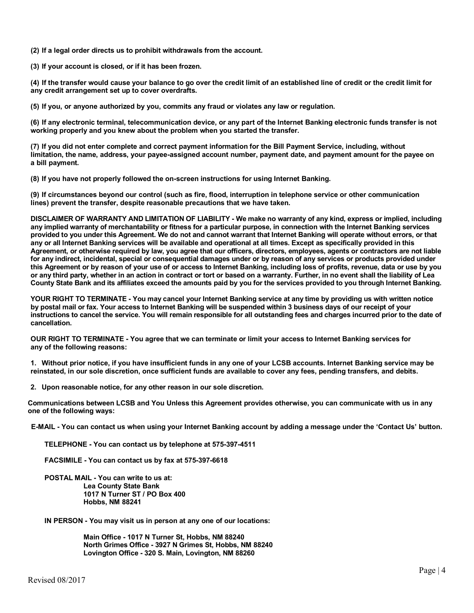**(2) If a legal order directs us to prohibit withdrawals from the account.**

**(3) If your account is closed, or if it has been frozen.**

**(4) If the transfer would cause your balance to go over the credit limit of an established line of credit or the credit limit for any credit arrangement set up to cover overdrafts.**

**(5) If you, or anyone authorized by you, commits any fraud or violates any law or regulation.**

**(6) If any electronic terminal, telecommunication device, or any part of the Internet Banking electronic funds transfer is not working properly and you knew about the problem when you started the transfer.**

**(7) If you did not enter complete and correct payment information for the Bill Payment Service, including, without limitation, the name, address, your payee-assigned account number, payment date, and payment amount for the payee on a bill payment.**

**(8) If you have not properly followed the on-screen instructions for using Internet Banking.**

**(9) If circumstances beyond our control (such as fire, flood, interruption in telephone service or other communication lines) prevent the transfer, despite reasonable precautions that we have taken.**

**DISCLAIMER OF WARRANTY AND LIMITATION OF LIABILITY - We make no warranty of any kind, express or implied, including any implied warranty of merchantability or fitness for a particular purpose, in connection with the Internet Banking services provided to you under this Agreement. We do not and cannot warrant that Internet Banking will operate without errors, or that any or all Internet Banking services will be available and operational at all times. Except as specifically provided in this Agreement, or otherwise required by law, you agree that our officers, directors, employees, agents or contractors are not liable for any indirect, incidental, special or consequential damages under or by reason of any services or products provided under this Agreement or by reason of your use of or access to Internet Banking, including loss of profits, revenue, data or use by you or any third party, whether in an action in contract or tort or based on a warranty. Further, in no event shall the liability of Lea County State Bank and its affiliates exceed the amounts paid by you for the services provided to you through Internet Banking.**

**YOUR RIGHT TO TERMINATE - You may cancel your Internet Banking service at any time by providing us with written notice by postal mail or fax. Your access to Internet Banking will be suspended within 3 business days of our receipt of your instructions to cancel the service. You will remain responsible for all outstanding fees and charges incurred prior to the date of cancellation.**

**OUR RIGHT TO TERMINATE - You agree that we can terminate or limit your access to Internet Banking services for any of the following reasons:**

**1. Without prior notice, if you have insufficient funds in any one of your LCSB accounts. Internet Banking service may be reinstated, in our sole discretion, once sufficient funds are available to cover any fees, pending transfers, and debits.**

**2. Upon reasonable notice, for any other reason in our sole discretion.**

**Communications between LCSB and You Unless this Agreement provides otherwise, you can communicate with us in any one of the following ways:**

**E-MAIL - You can contact us when using your Internet Banking account by adding a message under the 'Contact Us' button.**

**TELEPHONE - You can contact us by telephone at 575-397-4511** 

**FACSIMILE - You can contact us by fax at 575-397-6618**

**POSTAL MAIL - You can write to us at: Lea County State Bank 1017 N Turner ST / PO Box 400 Hobbs, NM 88241**

**IN PERSON - You may visit us in person at any one of our locations:**

**Main Office - 1017 N Turner St, Hobbs, NM 88240 North Grimes Office - 3927 N Grimes St, Hobbs, NM 88240 Lovington Office - 320 S. Main, Lovington, NM 88260**